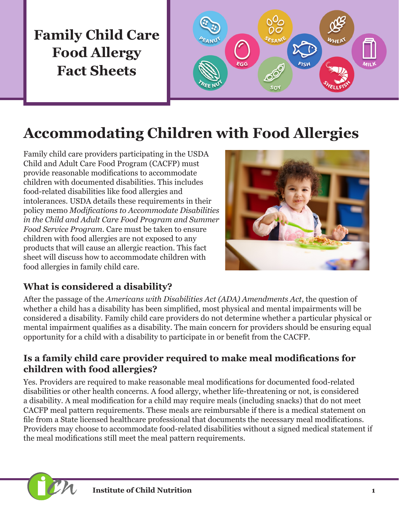# **Family Child Care Food Allergy Fact Sheets**



# **Accommodating Children with Food Allergies**

Family child care providers participating in the USDA Child and Adult Care Food Program (CACFP) must provide reasonable modifications to accommodate children with documented disabilities. This includes food-related disabilities like food allergies and intolerances. USDA details these requirements in their policy memo *Modifications to Accommodate Disabilities in the Child and Adult Care Food Program and Summer Food Service Program*. Care must be taken to ensure children with food allergies are not exposed to any products that will cause an allergic reaction. This fact sheet will discuss how to accommodate children with food allergies in family child care.



#### **What is considered a disability?**

After the passage of the *Americans with Disabilities Act (ADA) Amendments Act*, the question of whether a child has a disability has been simplified, most physical and mental impairments will be considered a disability. Family child care providers do not determine whether a particular physical or mental impairment qualifies as a disability. The main concern for providers should be ensuring equal opportunity for a child with a disability to participate in or benefit from the CACFP.

#### **Is a family child care provider required to make meal modifications for children with food allergies?**

Yes. Providers are required to make reasonable meal modifications for documented food-related disabilities or other health concerns. A food allergy, whether life-threatening or not, is considered a disability. A meal modification for a child may require meals (including snacks) that do not meet CACFP meal pattern requirements. These meals are reimbursable if there is a medical statement on file from a State licensed healthcare professional that documents the necessary meal modifications. Providers may choose to accommodate food-related disabilities without a signed medical statement if the meal modifications still meet the meal pattern requirements.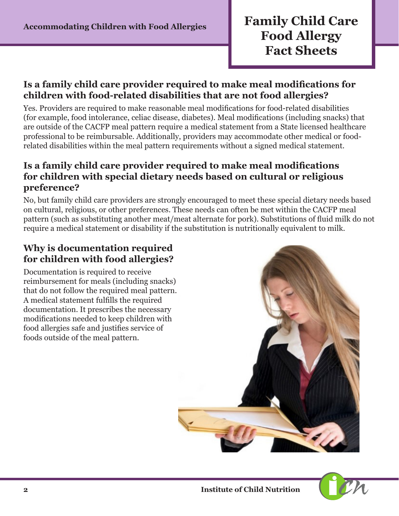### **Accommodating Children with Food Allergies Family Child Care Food Allergy Fact Sheets**

#### **Is a family child care provider required to make meal modifications for children with food-related disabilities that are not food allergies?**

Yes. Providers are required to make reasonable meal modifications for food-related disabilities (for example, food intolerance, celiac disease, diabetes). Meal modifications (including snacks) that are outside of the CACFP meal pattern require a medical statement from a State licensed healthcare professional to be reimbursable. Additionally, providers may accommodate other medical or foodrelated disabilities within the meal pattern requirements without a signed medical statement.

#### **Is a family child care provider required to make meal modifications for children with special dietary needs based on cultural or religious preference?**

No, but family child care providers are strongly encouraged to meet these special dietary needs based on cultural, religious, or other preferences. These needs can often be met within the CACFP meal pattern (such as substituting another meat/meat alternate for pork). Substitutions of fluid milk do not require a medical statement or disability if the substitution is nutritionally equivalent to milk.

#### **Why is documentation required for children with food allergies?**

Documentation is required to receive reimbursement for meals (including snacks) that do not follow the required meal pattern. A medical statement fulfills the required documentation. It prescribes the necessary modifications needed to keep children with food allergies safe and justifies service of foods outside of the meal pattern.

![](_page_1_Picture_8.jpeg)

![](_page_1_Picture_9.jpeg)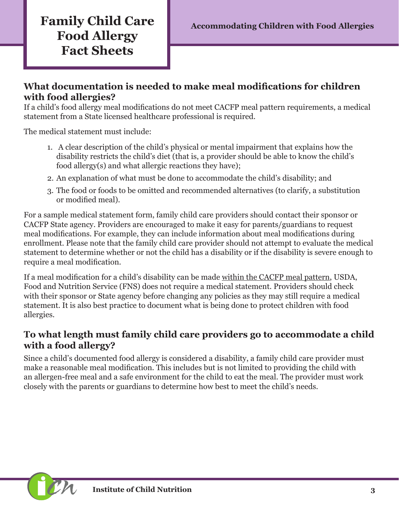## **Family Child Care** Accommodating Children with Food Allergies **Food Allergy Fact Sheets**

#### **What documentation is needed to make meal modifications for children with food allergies?**

If a child's food allergy meal modifications do not meet CACFP meal pattern requirements, a medical statement from a State licensed healthcare professional is required.

The medical statement must include:

- 1. A clear description of the child's physical or mental impairment that explains how the disability restricts the child's diet (that is, a provider should be able to know the child's food allergy(s) and what allergic reactions they have);
- 2. An explanation of what must be done to accommodate the child's disability; and
- 3. The food or foods to be omitted and recommended alternatives (to clarify, a substitution or modified meal).

For a sample medical statement form, family child care providers should contact their sponsor or CACFP State agency. Providers are encouraged to make it easy for parents/guardians to request meal modifications. For example, they can include information about meal modifications during enrollment. Please note that the family child care provider should not attempt to evaluate the medical statement to determine whether or not the child has a disability or if the disability is severe enough to require a meal modification.

If a meal modification for a child's disability can be made within the CACFP meal pattern, USDA, Food and Nutrition Service (FNS) does not require a medical statement. Providers should check with their sponsor or State agency before changing any policies as they may still require a medical statement. It is also best practice to document what is being done to protect children with food allergies.

#### **To what length must family child care providers go to accommodate a child with a food allergy?**

Since a child's documented food allergy is considered a disability, a family child care provider must make a reasonable meal modification. This includes but is not limited to providing the child with an allergen-free meal and a safe environment for the child to eat the meal. The provider must work closely with the parents or guardians to determine how best to meet the child's needs.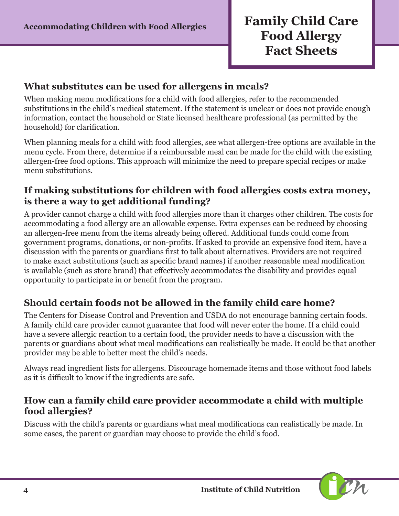#### **What substitutes can be used for allergens in meals?**

When making menu modifications for a child with food allergies, refer to the recommended substitutions in the child's medical statement. If the statement is unclear or does not provide enough information, contact the household or State licensed healthcare professional (as permitted by the household) for clarification.

When planning meals for a child with food allergies, see what allergen-free options are available in the menu cycle. From there, determine if a reimbursable meal can be made for the child with the existing allergen-free food options. This approach will minimize the need to prepare special recipes or make menu substitutions.

#### **If making substitutions for children with food allergies costs extra money, is there a way to get additional funding?**

A provider cannot charge a child with food allergies more than it charges other children. The costs for accommodating a food allergy are an allowable expense. Extra expenses can be reduced by choosing an allergen-free menu from the items already being offered. Additional funds could come from government programs, donations, or non-profits. If asked to provide an expensive food item, have a discussion with the parents or guardians first to talk about alternatives. Providers are not required to make exact substitutions (such as specific brand names) if another reasonable meal modification is available (such as store brand) that effectively accommodates the disability and provides equal opportunity to participate in or benefit from the program.

#### **Should certain foods not be allowed in the family child care home?**

The Centers for Disease Control and Prevention and USDA do not encourage banning certain foods. A family child care provider cannot guarantee that food will never enter the home. If a child could have a severe allergic reaction to a certain food, the provider needs to have a discussion with the parents or guardians about what meal modifications can realistically be made. It could be that another provider may be able to better meet the child's needs.

Always read ingredient lists for allergens. Discourage homemade items and those without food labels as it is difficult to know if the ingredients are safe.

#### **How can a family child care provider accommodate a child with multiple food allergies?**

Discuss with the child's parents or guardians what meal modifications can realistically be made. In some cases, the parent or guardian may choose to provide the child's food.

![](_page_3_Picture_12.jpeg)